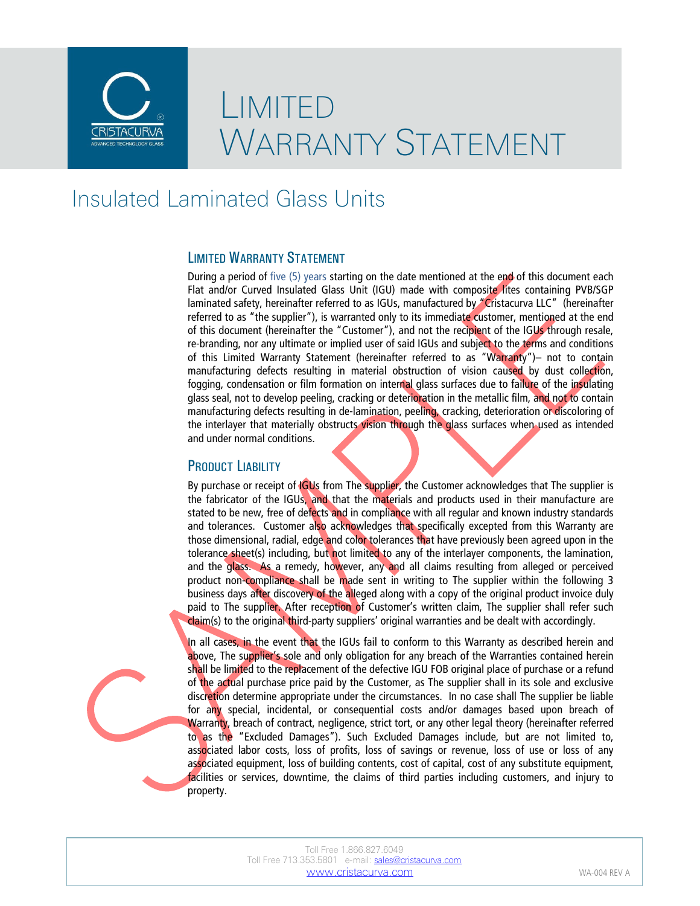

## LIMITED WARRANTY STATEMENT

### Insulated Laminated Glass Units

#### LIMITED WARRANTY STATEMENT

During a period of five (5) years starting on the date mentioned at the end of this document each Flat and/or Curved Insulated Glass Unit (IGU) made with composite lites containing PVB/SGP laminated safety, hereinafter referred to as IGUs, manufactured by "Cristacurva LLC" (hereinafter referred to as "the supplier"), is warranted only to its immediate customer, mentioned at the end of this document (hereinafter the "Customer"), and not the recipient of the IGUs through resale, re-branding, nor any ultimate or implied user of said IGUs and subject to the terms and conditions of this Limited Warranty Statement (hereinafter referred to as "Warranty")- not to contain manufacturing defects resulting in material obstruction of vision caused by dust collection, fogging, condensation or film formation on internal glass surfaces due to failure of the insulating glass seal, not to develop peeling, cracking or deterioration in the metallic film, and not to contain manufacturing defects resulting in de-lamination, peeling, cracking, deterioration or discoloring of the interlayer that materially obstructs vision through the glass surfaces when used as intended and under normal conditions.

#### PRODUCT LIABILITY

By purchase or receipt of  $|GUs|$  from The supplier, the Customer acknowledges that The supplier is the fabricator of the IGUs, and that the materials and products used in their manufacture are stated to be new, free of defects and in compliance with all regular and known industry standards and tolerances. Customer also acknowledges that specifically excepted from this Warranty are those dimensional, radial, edge and color tolerances that have previously been agreed upon in the tolerance sheet(s) including, but not limited to any of the interlayer components, the lamination, and the glass. As a remedy, however, any and all claims resulting from alleged or perceived product non-compliance shall be made sent in writing to The supplier within the following 3 business days after discovery of the alleged along with a copy of the original product invoice duly paid to The supplier. After reception of Customer's written claim, The supplier shall refer such claim(s) to the original third-party suppliers' original warranties and be dealt with accordingly.

In all cases, in the event that the IGUs fail to conform to this Warranty as described herein and above, The supplier's sole and only obligation for any breach of the Warranties contained herein shall be limited to the replacement of the defective IGU FOB original place of purchase or a refund of the actual purchase price paid by the Customer, as The supplier shall in its sole and exclusive discretion determine appropriate under the circumstances. In no case shall The supplier be liable for any special, incidental, or consequential costs and/or damages based upon breach of Warranty, breach of contract, negligence, strict tort, or any other legal theory (hereinafter referred to as the "Excluded Damages"). Such Excluded Damages include, but are not limited to, associated labor costs, loss of profits, loss of savings or revenue, loss of use or loss of any associated equipment, loss of building contents, cost of capital, cost of any substitute equipment, facilities or services, downtime, the claims of third parties including customers, and injury to property.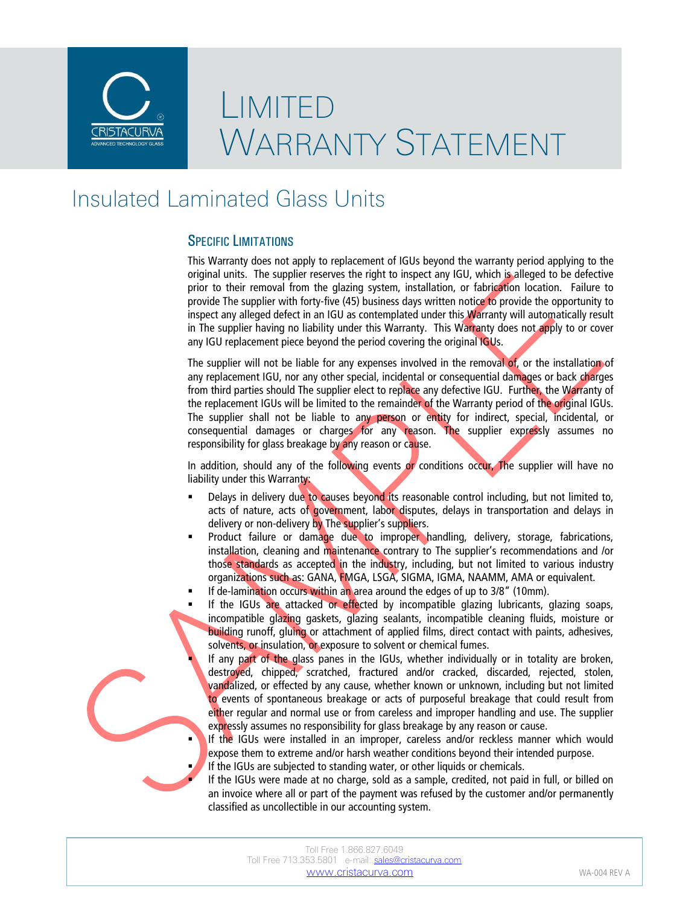

# LIMITED WARRANTY STATEMENT

## Insulated Laminated Glass Units

#### SPECIFIC LIMITATIONS

This Warranty does not apply to replacement of IGUs beyond the warranty period applying to the original units. The supplier reserves the right to inspect any IGU, which is alleged to be defective prior to their removal from the glazing system, installation, or fabrication location. Failure to provide The supplier with forty-five (45) business days written notice to provide the opportunity to inspect any alleged defect in an IGU as contemplated under this Warranty will automatically result in The supplier having no liability under this Warranty. This Warranty does not apply to or cover any IGU replacement piece beyond the period covering the original IGUs.

The supplier will not be liable for any expenses involved in the removal of, or the installation of any replacement IGU, nor any other special, incidental or consequential damages or back charges from third parties should The supplier elect to replace any defective IGU. Further, the Warranty of the replacement IGUs will be limited to the remainder of the Warranty period of the original IGUs. The supplier shall not be liable to any person or entity for indirect, special, incidental, or consequential damages or charges for any reason. The supplier expressly assumes no responsibility for glass breakage by any reason or cause.

In addition, should any of the following events or conditions occur, The supplier will have no liability under this Warranty:

- Delays in delivery due to causes beyond its reasonable control including, but not limited to, acts of nature, acts of government, labor disputes, delays in transportation and delays in delivery or non-delivery by The supplier's suppliers.
- Product failure or damage due to improper handling, delivery, storage, fabrications, installation, cleaning and maintenance contrary to The supplier's recommendations and /or those standards as accepted in the industry, including, but not limited to various industry organizations such as: GANA, FMGA, LSGA, SIGMA, IGMA, NAAMM, AMA or equivalent.
- If de-lamination occurs within an area around the edges of up to 3/8" (10mm).
- If the IGUs are attacked or effected by incompatible glazing lubricants, glazing soaps, incompatible glazing gaskets, glazing sealants, incompatible cleaning fluids, moisture or building runoff, gluing or attachment of applied films, direct contact with paints, adhesives, solvents, or insulation, or exposure to solvent or chemical fumes.

 If any part of the glass panes in the IGUs, whether individually or in totality are broken, destroyed, chipped, scratched, fractured and/or cracked, discarded, rejected, stolen, vandalized, or effected by any cause, whether known or unknown, including but not limited to events of spontaneous breakage or acts of purposeful breakage that could result from either regular and normal use or from careless and improper handling and use. The supplier expressly assumes no responsibility for glass breakage by any reason or cause.

 If the IGUs were installed in an improper, careless and/or reckless manner which would expose them to extreme and/or harsh weather conditions beyond their intended purpose. If the IGUs are subjected to standing water, or other liquids or chemicals.

 If the IGUs were made at no charge, sold as a sample, credited, not paid in full, or billed on an invoice where all or part of the payment was refused by the customer and/or permanently classified as uncollectible in our accounting system.